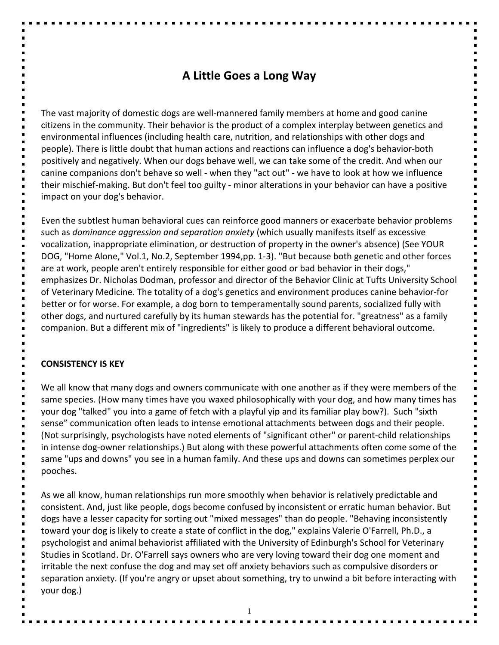# **A Little Goes a Long Way**

The vast majority of domestic dogs are well-mannered family members at home and good canine citizens in the community. Their behavior is the product of a complex interplay between genetics and environmental influences (including health care, nutrition, and relationships with other dogs and people). There is little doubt that human actions and reactions can influence a dog's behavior-both positively and negatively. When our dogs behave well, we can take some of the credit. And when our canine companions don't behave so well - when they "act out" - we have to look at how we influence their mischief-making. But don't feel too guilty - minor alterations in your behavior can have a positive impact on your dog's behavior.

Even the subtlest human behavioral cues can reinforce good manners or exacerbate behavior problems such as *dominance aggression and separation anxiety* (which usually manifests itself as excessive vocalization, inappropriate elimination, or destruction of property in the owner's absence) (See YOUR DOG, "Home Alone," Vol.1, No.2, September 1994,pp. 1-3). "But because both genetic and other forces are at work, people aren't entirely responsible for either good or bad behavior in their dogs," emphasizes Dr. Nicholas Dodman, professor and director of the Behavior Clinic at Tufts University School of Veterinary Medicine. The totality of a dog's genetics and environment produces canine behavior-for better or for worse. For example, a dog born to temperamentally sound parents, socialized fully with other dogs, and nurtured carefully by its human stewards has the potential for. "greatness" as a family companion. But a different mix of "ingredients" is likely to produce a different behavioral outcome.

#### **CONSISTENCY IS KEY**

We all know that many dogs and owners communicate with one another as if they were members of the same species. (How many times have you waxed philosophically with your dog, and how many times has your dog "talked" you into a game of fetch with a playful yip and its familiar play bow?). Such "sixth sense" communication often leads to intense emotional attachments between dogs and their people. (Not surprisingly, psychologists have noted elements of "significant other" or parent-child relationships in intense dog-owner relationships.) But along with these powerful attachments often come some of the same "ups and downs" you see in a human family. And these ups and downs can sometimes perplex our pooches.

As we all know, human relationships run more smoothly when behavior is relatively predictable and consistent. And, just like people, dogs become confused by inconsistent or erratic human behavior. But dogs have a lesser capacity for sorting out "mixed messages" than do people. "Behaving inconsistently toward your dog is likely to create a state of conflict in the dog," explains Valerie O'Farrell, Ph.D., a psychologist and animal behaviorist affiliated with the University of Edinburgh's School for Veterinary Studies in Scotland. Dr. O'Farrell says owners who are very loving toward their dog one moment and irritable the next confuse the dog and may set off anxiety behaviors such as compulsive disorders or separation anxiety. (If you're angry or upset about something, try to unwind a bit before interacting with your dog.)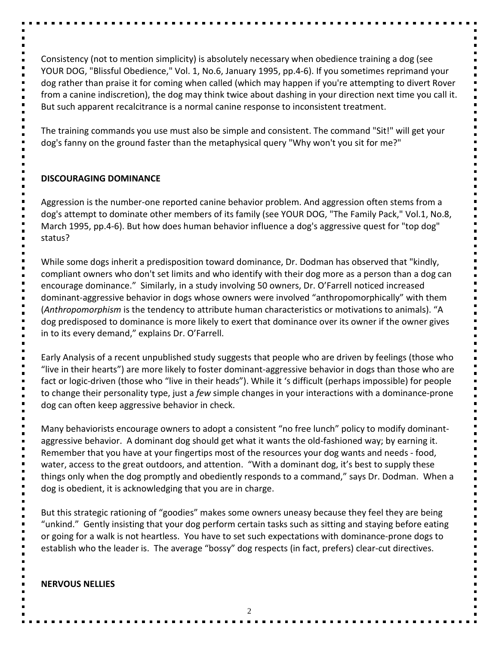Consistency (not to mention simplicity) is absolutely necessary when obedience training a dog (see YOUR DOG, "Blissful Obedience," Vol. 1, No.6, January 1995, pp.4-6). If you sometimes reprimand your dog rather than praise it for coming when called (which may happen if you're attempting to divert Rover from a canine indiscretion), the dog may think twice about dashing in your direction next time you call it. But such apparent recalcitrance is a normal canine response to inconsistent treatment.

The training commands you use must also be simple and consistent. The command "Sit!" will get your dog's fanny on the ground faster than the metaphysical query "Why won't you sit for me?"

### **DISCOURAGING DOMINANCE**

Aggression is the number-one reported canine behavior problem. And aggression often stems from a dog's attempt to dominate other members of its family (see YOUR DOG, "The Family Pack," Vol.1, No.8, March 1995, pp.4-6). But how does human behavior influence a dog's aggressive quest for "top dog" status?

While some dogs inherit a predisposition toward dominance, Dr. Dodman has observed that "kindly, compliant owners who don't set limits and who identify with their dog more as a person than a dog can encourage dominance." Similarly, in a study involving 50 owners, Dr. O'Farrell noticed increased dominant-aggressive behavior in dogs whose owners were involved "anthropomorphically" with them (*Anthropomorphism* is the tendency to attribute human characteristics or motivations to animals). "A dog predisposed to dominance is more likely to exert that dominance over its owner if the owner gives in to its every demand," explains Dr. O'Farrell.

Early Analysis of a recent unpublished study suggests that people who are driven by feelings (those who "live in their hearts") are more likely to foster dominant-aggressive behavior in dogs than those who are fact or logic-driven (those who "live in their heads"). While it 's difficult (perhaps impossible) for people to change their personality type, just a *few* simple changes in your interactions with a dominance-prone dog can often keep aggressive behavior in check.

Many behaviorists encourage owners to adopt a consistent "no free lunch" policy to modify dominantaggressive behavior. A dominant dog should get what it wants the old-fashioned way; by earning it. Remember that you have at your fingertips most of the resources your dog wants and needs - food, water, access to the great outdoors, and attention. "With a dominant dog, it's best to supply these things only when the dog promptly and obediently responds to a command," says Dr. Dodman. When a dog is obedient, it is acknowledging that you are in charge.

But this strategic rationing of "goodies" makes some owners uneasy because they feel they are being "unkind." Gently insisting that your dog perform certain tasks such as sitting and staying before eating or going for a walk is not heartless. You have to set such expectations with dominance-prone dogs to establish who the leader is. The average "bossy" dog respects (in fact, prefers) clear-cut directives.

### **NERVOUS NELLIES**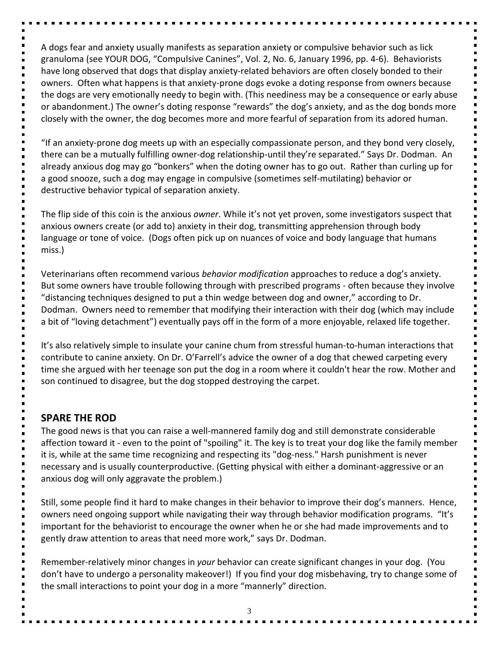A dogs fear and anxiety usually manifests as separation anxiety or compulsive behavior such as lick granuloma (see YOUR DOG, "Compulsive Canines", Vol. 2, No. 6, January 1996, pp. 4-6). Behaviorists have long observed that dogs that display anxiety-related behaviors are often closely bonded to their owners. Often what happens is that anxiety-prone dogs evoke a doting response from owners because the dogs are very emotionally needy to begin with. (This neediness may be a consequence or early abuse or abandonment.) The owner's doting response "rewards" the dog's anxiety, and as the dog bonds more closely with the owner, the dog becomes more and more fearful of separation from its adored human.

"If an anxiety-prone dog meets up with an especially compassionate person, and they bond very closely, there can be a mutually fulfilling owner-dog relationship-until they're separated." Says Dr. Dodman. An already anxious dog may go "bonkers" when the doting owner has to go out. Rather than curling up for a good snooze, such a dog may engage in compulsive (sometimes self-mutilating) behavior or destructive behavior typical of separation anxiety.

The flip side of this coin is the anxious *owner*. While it's not yet proven, some investigators suspect that anxious owners create (or add to) anxiety in their dog, transmitting apprehension through body language or tone of voice. (Dogs often pick up on nuances of voice and body language that humans miss.)

Veterinarians often recommend various *behavior modification* approaches to reduce a dog's anxiety. But some owners have trouble following through with prescribed programs - often because they involve "distancing techniques designed to put a thin wedge between dog and owner," according to Dr. Dodman. Owners need to remember that modifying their interaction with their dog (which may include a bit of "loving detachment") eventually pays off in the form of a more enjoyable, relaxed life together.

It's also relatively simple to insulate your canine chum from stressful human-to-human interactions that contribute to canine anxiety. On Dr. O'Farrell's advice the owner of a dog that chewed carpeting every time she argued with her teenage son put the dog in a room where it couldn't hear the row. Mother and son continued to disagree, but the dog stopped destroying the carpet.

## **SPARE THE ROD**

The good news is that you can raise a well-mannered family dog and still demonstrate considerable affection toward it - even to the point of "spoiling" it. The key is to treat your dog like the family member it is, while at the same time recognizing and respecting its "dog-ness." Harsh punishment is never necessary and is usually counterproductive. (Getting physical with either a dominant-aggressive or an anxious dog will only aggravate the problem.)

Still, some people find it hard to make changes in their behavior to improve their dog's manners. Hence, owners need ongoing support while navigating their way through behavior modification programs. "It's important for the behaviorist to encourage the owner when he or she had made improvements and to gently draw attention to areas that need more work," says Dr. Dodman.

Remember-relatively minor changes in *your* behavior can create significant changes in your dog. (You don't have to undergo a personality makeover!) If you find your dog misbehaving, try to change some of the small interactions to point your dog in a more "mannerly" direction.